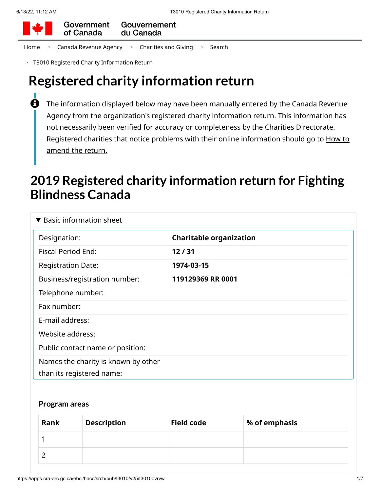

Government Gouvernement of Canada du Canada

[Home](https://apps.cra-arc.gc.ca/ebci/hacc/srch/pub/rdrctToLnk?linkKey=breadcrumbHome) > Canada [Revenue](https://apps.cra-arc.gc.ca/ebci/hacc/srch/pub/rdrctToLnk?linkKey=breadcrumbCRA) Agency > [Charities](https://apps.cra-arc.gc.ca/ebci/hacc/srch/pub/rdrctToLnk?linkKey=breadcrumbCharities) and Giving > [Search](https://apps.cra-arc.gc.ca/ebci/hacc/srch/pub/rdrctToLnk?linkKey=breadcrumbSearch)

T3010 Registered Charity [Information Return](https://apps.cra-arc.gc.ca/ebci/hacc/srch/pub/t3010/v25/t3010ovrvw) >

# **Registered charity information return**

The information displayed below may have been manually entered by the Canada Revenue Agency from the organization's registered charity information return. This information has not necessarily been verified for accuracy or completeness by the Charities Directorate. Registered charities that notice problems with their online [information](https://www.canada.ca/en/revenue-agency/services/charities-giving/charities/operating-a-registered-charity/t3010-charity-return-after-you-file.html#mndng) should go to How to amend the return.  $\mathbf \theta$ 

# **2019 Registered charity information return for Fighting Blindness Canada**

| $\blacktriangledown$ Basic information sheet                     |                                |
|------------------------------------------------------------------|--------------------------------|
| Designation:                                                     | <b>Charitable organization</b> |
| <b>Fiscal Period End:</b>                                        | 12/31                          |
| <b>Registration Date:</b>                                        | 1974-03-15                     |
| Business/registration number:                                    | 119129369 RR 0001              |
| Telephone number:                                                |                                |
| Fax number:                                                      |                                |
| E-mail address:                                                  |                                |
| Website address:                                                 |                                |
| Public contact name or position:                                 |                                |
| Names the charity is known by other<br>than its registered name: |                                |

#### **Program areas**

| Rank | <b>Description</b> | <b>Field code</b> | % of emphasis |
|------|--------------------|-------------------|---------------|
|      |                    |                   |               |
|      |                    |                   |               |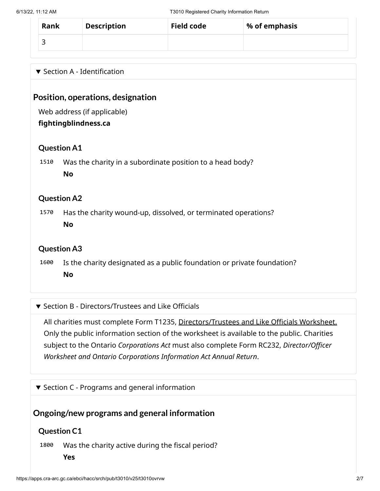| Rank | <b>Description</b> | <b>Field code</b> | % of emphasis |
|------|--------------------|-------------------|---------------|
|      |                    |                   |               |

## $\blacktriangledown$  Section A - Identification

## **Position, operations, designation**

Web address (if applicable)

#### **fightingblindness.ca**

### **Question A1**

1510 Was the charity in a subordinate position to a head body? **No**

### **Question A2**

1570 Has the charity wound-up, dissolved, or terminated operations? **No**

## **Question A3**

1600 Is the charity designated as a public foundation or private foundation? **No**

#### ▼ Section B - Directors/Trustees and Like Officials

All charities must complete Form T1235, [Directors/Trustees](https://apps.cra-arc.gc.ca/ebci/hacc/srch/pub/t3010/v25/t3010DrctrsTrstsLkOffcls_dsplyovrvw) and Like Officials Worksheet. Only the public information section of the worksheet is available to the public. Charities subject to the Ontario *Corporations Act* must also complete Form RC232, *Director/Officer Worksheet and Ontario Corporations Information Act Annual Return*.

 $\blacktriangledown$  Section C - Programs and general information

## **Ongoing/new programs and general information**

## **Question C1**

1800 Was the charity active during the fiscal period?

**Yes**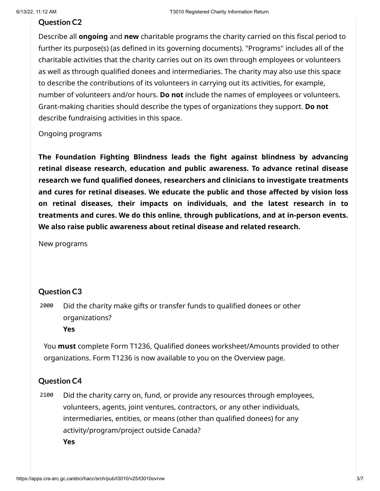#### **Question C2**

Describe all **ongoing** and **new** charitable programs the charity carried on this fiscal period to further its purpose(s) (as defined in its governing documents). "Programs" includes all of the charitable activities that the charity carries out on its own through employees or volunteers as well as through qualified donees and intermediaries. The charity may also use this space to describe the contributions of its volunteers in carrying out its activities, for example, number of volunteers and/or hours. **Do not** include the names of employees or volunteers. Grant-making charities should describe the types of organizations they support. **Do not** describe fundraising activities in this space.

Ongoing programs

**The Foundation Fighting Blindness leads the fight against blindness by advancing retinal disease research, education and public awareness. To advance retinal disease research we fund qualified donees, researchers and clinicians to investigate treatments and cures for retinal diseases. We educate the public and those affected by vision loss on retinal diseases, their impacts on individuals, and the latest research in to treatments and cures. We do this online, through publications, and at in-person events. We also raise public awareness about retinal disease and related research.**

New programs

#### **Question C3**

2000 Did the charity make gifts or transfer funds to qualified donees or other organizations? **Yes**

You **must** complete Form T1236, Qualified donees worksheet/Amounts provided to other organizations. Form T1236 is now available to you on the Overview page.

#### **Question C4**

2100 Did the charity carry on, fund, or provide any resources through employees, volunteers, agents, joint ventures, contractors, or any other individuals, intermediaries, entities, or means (other than qualified donees) for any activity/program/project outside Canada? **Yes**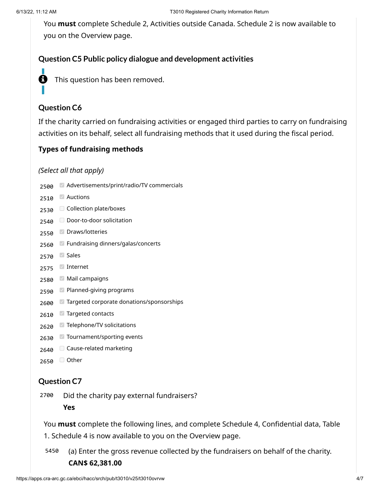You **must** complete Schedule 2, Activities outside Canada. Schedule 2 is now available to you on the Overview page.

## **Question C5 Public policy dialogue and development activities**



**f** This question has been removed.

# **Question C6**

If the charity carried on fundraising activities or engaged third parties to carry on fundraising activities on its behalf, select all fundraising methods that it used during the fiscal period.

## **Types of fundraising methods**

#### *(Select all that apply)*

- 2500 Advertisements/print/radio/TV commercials
- 2510 Auctions
- 2530 Collection plate/boxes
- 2540 Door-to-door solicitation
- 2550 Draws/lotteries
- 2560 Fundraising dinners/galas/concerts
- 2570 Sales
- 2575 Internet
- 2580 Mail campaigns
- 2590 Planned-giving programs
- 2600 Targeted corporate donations/sponsorships
- 2610 Targeted contacts
- 2620 Telephone/TV solicitations
- 2630 Tournament/sporting events
- 2640 Cause-related marketing
- 2650 <del>O</del> Other

## **Question C7**

2700 Did the charity pay external fundraisers?

**Yes**

You **must** complete the following lines, and complete Schedule 4, Confidential data, Table

1. Schedule 4 is now available to you on the Overview page.

5450 (a) Enter the gross revenue collected by the fundraisers on behalf of the charity. **CAN\$ 62,381.00**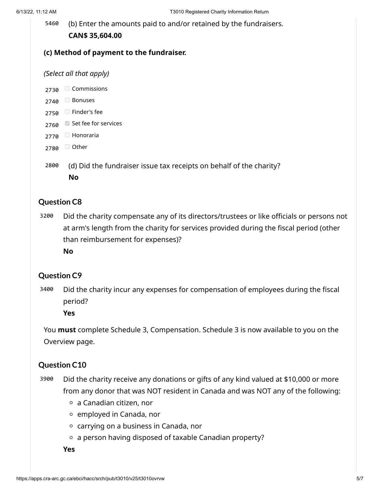5460 (b) Enter the amounts paid to and/or retained by the fundraisers. **CAN\$ 35,604.00**

#### **(c) Method of payment to the fundraiser.**

#### *(Select all that apply)*

2730 Commissions

- 2740 Bonuses
- 2750 Finder's fee
- 2760 Set fee for services
- 2770 Honoraria
- 2780 <del>□</del> Other
- 2800 (d) Did the fundraiser issue tax receipts on behalf of the charity? **No**

#### **Question C8**

3200 Did the charity compensate any of its directors/trustees or like officials or persons not at arm's length from the charity for services provided during the fiscal period (other than reimbursement for expenses)?

**No**

#### **Question C9**

3400 Did the charity incur any expenses for compensation of employees during the fiscal period?

**Yes**

You **must** complete Schedule 3, Compensation. Schedule 3 is now available to you on the Overview page.

#### **Question C10**

- 3900 Did the charity receive any donations or gifts of any kind valued at \$10,000 or more from any donor that was NOT resident in Canada and was NOT any of the following:
	- $\circ$  a Canadian citizen, nor
	- $\circ$  employed in Canada, nor
	- $\circ$  carrying on a business in Canada, nor
	- $\circ$  a person having disposed of taxable Canadian property?

**Yes**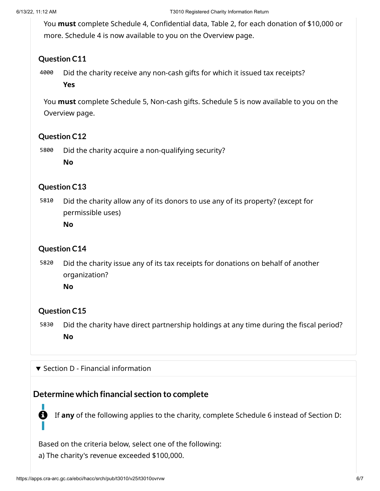You **must** complete Schedule 4, Confidential data, Table 2, for each donation of \$10,000 or more. Schedule 4 is now available to you on the Overview page.

## **Question C11**

4000 Did the charity receive any non-cash gifts for which it issued tax receipts?

**Yes**

You **must** complete Schedule 5, Non-cash gifts. Schedule 5 is now available to you on the Overview page.

## **Question C12**

5800 Did the charity acquire a non-qualifying security? **No**

## **Question C13**

5810 Did the charity allow any of its donors to use any of its property? (except for permissible uses) **No**

## **Question C14**

5820 Did the charity issue any of its tax receipts for donations on behalf of another organization?

**No**

## **Question C15**

H

I.

5830 Did the charity have direct partnership holdings at any time during the fiscal period? **No**

▼ Section D - Financial information

# **Determine which financial section to complete**

If **any** of the following applies to the charity, complete Schedule 6 instead of Section D:

Based on the criteria below, select one of the following:

a) The charity's revenue exceeded \$100,000.